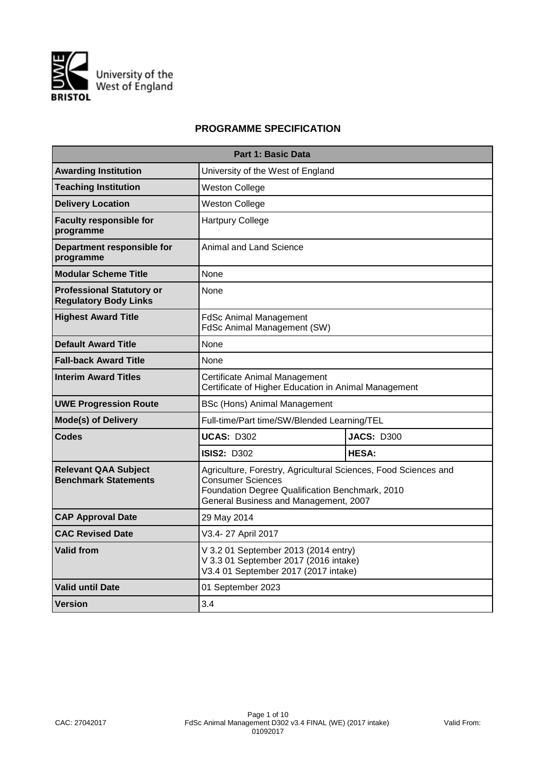

# **PROGRAMME SPECIFICATION**

| <b>Part 1: Basic Data</b>                                        |                                                                                                                                                                                  |                   |  |  |  |  |  |  |
|------------------------------------------------------------------|----------------------------------------------------------------------------------------------------------------------------------------------------------------------------------|-------------------|--|--|--|--|--|--|
| <b>Awarding Institution</b>                                      | University of the West of England                                                                                                                                                |                   |  |  |  |  |  |  |
| <b>Teaching Institution</b>                                      | <b>Weston College</b>                                                                                                                                                            |                   |  |  |  |  |  |  |
| <b>Delivery Location</b>                                         | <b>Weston College</b>                                                                                                                                                            |                   |  |  |  |  |  |  |
| <b>Faculty responsible for</b><br>programme                      | <b>Hartpury College</b>                                                                                                                                                          |                   |  |  |  |  |  |  |
| Department responsible for<br>programme                          | Animal and Land Science                                                                                                                                                          |                   |  |  |  |  |  |  |
| <b>Modular Scheme Title</b>                                      | None                                                                                                                                                                             |                   |  |  |  |  |  |  |
| <b>Professional Statutory or</b><br><b>Regulatory Body Links</b> | None                                                                                                                                                                             |                   |  |  |  |  |  |  |
| <b>Highest Award Title</b>                                       | <b>FdSc Animal Management</b><br><b>FdSc Animal Management (SW)</b>                                                                                                              |                   |  |  |  |  |  |  |
| <b>Default Award Title</b>                                       | None                                                                                                                                                                             |                   |  |  |  |  |  |  |
| <b>Fall-back Award Title</b>                                     | None                                                                                                                                                                             |                   |  |  |  |  |  |  |
| <b>Interim Award Titles</b>                                      | Certificate Animal Management<br>Certificate of Higher Education in Animal Management                                                                                            |                   |  |  |  |  |  |  |
| <b>UWE Progression Route</b>                                     | BSc (Hons) Animal Management                                                                                                                                                     |                   |  |  |  |  |  |  |
| <b>Mode(s) of Delivery</b>                                       | Full-time/Part time/SW/Blended Learning/TEL                                                                                                                                      |                   |  |  |  |  |  |  |
| Codes                                                            | <b>UCAS: D302</b>                                                                                                                                                                | <b>JACS: D300</b> |  |  |  |  |  |  |
|                                                                  | <b>ISIS2: D302</b>                                                                                                                                                               | <b>HESA:</b>      |  |  |  |  |  |  |
| <b>Relevant QAA Subject</b><br><b>Benchmark Statements</b>       | Agriculture, Forestry, Agricultural Sciences, Food Sciences and<br>Consumer Sciences<br>Foundation Degree Qualification Benchmark, 2010<br>General Business and Management, 2007 |                   |  |  |  |  |  |  |
| <b>CAP Approval Date</b>                                         | 29 May 2014                                                                                                                                                                      |                   |  |  |  |  |  |  |
| <b>CAC Revised Date</b>                                          | V3.4-27 April 2017                                                                                                                                                               |                   |  |  |  |  |  |  |
| <b>Valid from</b>                                                | V 3.2 01 September 2013 (2014 entry)<br>V 3.3 01 September 2017 (2016 intake)<br>V3.4 01 September 2017 (2017 intake)                                                            |                   |  |  |  |  |  |  |
| <b>Valid until Date</b>                                          | 01 September 2023                                                                                                                                                                |                   |  |  |  |  |  |  |
| Version                                                          | 3.4                                                                                                                                                                              |                   |  |  |  |  |  |  |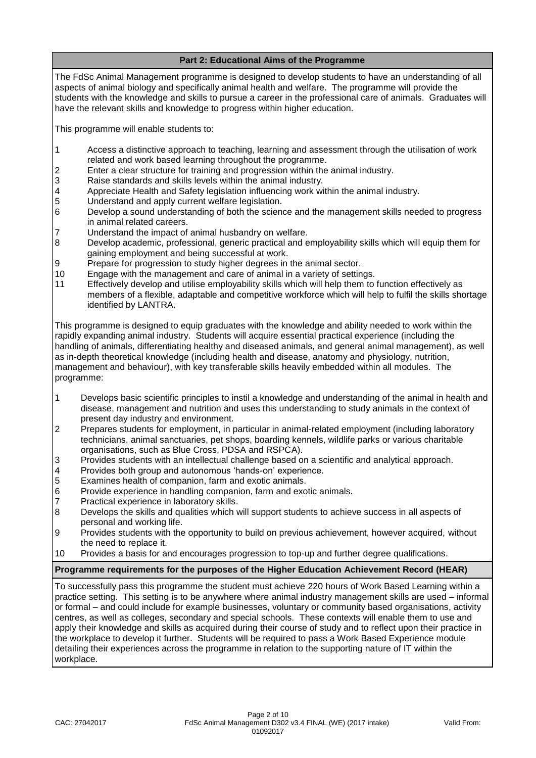# **Part 2: Educational Aims of the Programme**

The FdSc Animal Management programme is designed to develop students to have an understanding of all aspects of animal biology and specifically animal health and welfare. The programme will provide the students with the knowledge and skills to pursue a career in the professional care of animals. Graduates will have the relevant skills and knowledge to progress within higher education.

This programme will enable students to:

- 1 Access a distinctive approach to teaching, learning and assessment through the utilisation of work related and work based learning throughout the programme.
- 2 Enter a clear structure for training and progression within the animal industry.
- 3 Raise standards and skills levels within the animal industry.
- 4 Appreciate Health and Safety legislation influencing work within the animal industry.<br>5 Understand and apply current welfare legislation.
- Understand and apply current welfare legislation.
- 6 Develop a sound understanding of both the science and the management skills needed to progress in animal related careers.
- 7 Understand the impact of animal husbandry on welfare.
- 8 Develop academic, professional, generic practical and employability skills which will equip them for gaining employment and being successful at work.
- 9 Prepare for progression to study higher degrees in the animal sector.
- 10 Engage with the management and care of animal in a variety of settings.
- 11 Effectively develop and utilise employability skills which will help them to function effectively as members of a flexible, adaptable and competitive workforce which will help to fulfil the skills shortage identified by LANTRA.

This programme is designed to equip graduates with the knowledge and ability needed to work within the rapidly expanding animal industry. Students will acquire essential practical experience (including the handling of animals, differentiating healthy and diseased animals, and general animal management), as well as in-depth theoretical knowledge (including health and disease, anatomy and physiology, nutrition, management and behaviour), with key transferable skills heavily embedded within all modules. The programme:

- 1 Develops basic scientific principles to instil a knowledge and understanding of the animal in health and disease, management and nutrition and uses this understanding to study animals in the context of present day industry and environment.
- 2 Prepares students for employment, in particular in animal-related employment (including laboratory technicians, animal sanctuaries, pet shops, boarding kennels, wildlife parks or various charitable organisations, such as Blue Cross, PDSA and RSPCA).
- 3 Provides students with an intellectual challenge based on a scientific and analytical approach.
- 4 Provides both group and autonomous 'hands-on' experience.<br>5 Examines health of companion, farm and exotic animals.
- Examines health of companion, farm and exotic animals.
- 6 Provide experience in handling companion, farm and exotic animals.
- 7 Practical experience in laboratory skills.
- 8 Develops the skills and qualities which will support students to achieve success in all aspects of personal and working life.
- 9 Provides students with the opportunity to build on previous achievement, however acquired, without the need to replace it.
- 10 Provides a basis for and encourages progression to top-up and further degree qualifications.

### **Programme requirements for the purposes of the Higher Education Achievement Record (HEAR)**

To successfully pass this programme the student must achieve 220 hours of Work Based Learning within a practice setting. This setting is to be anywhere where animal industry management skills are used – informal or formal – and could include for example businesses, voluntary or community based organisations, activity centres, as well as colleges, secondary and special schools. These contexts will enable them to use and apply their knowledge and skills as acquired during their course of study and to reflect upon their practice in the workplace to develop it further. Students will be required to pass a Work Based Experience module detailing their experiences across the programme in relation to the supporting nature of IT within the workplace.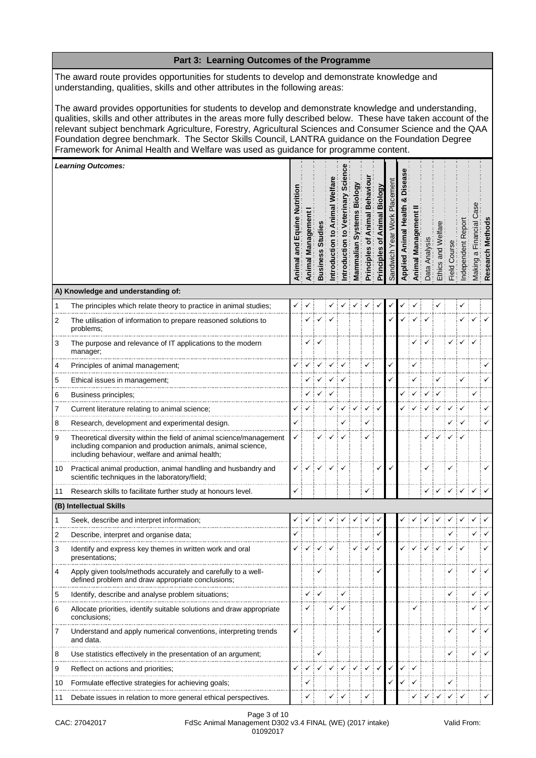|                                                                                                                                                                                                                                                                                                                                                                                                                                                                                                                                 | Part 3: Learning Outcomes of the Programme                                                                                                                                            |                               |                |                |             |             |                         |                                   |                                             |                          |       |        |                 |                 |            |            |                                                         |               |
|---------------------------------------------------------------------------------------------------------------------------------------------------------------------------------------------------------------------------------------------------------------------------------------------------------------------------------------------------------------------------------------------------------------------------------------------------------------------------------------------------------------------------------|---------------------------------------------------------------------------------------------------------------------------------------------------------------------------------------|-------------------------------|----------------|----------------|-------------|-------------|-------------------------|-----------------------------------|---------------------------------------------|--------------------------|-------|--------|-----------------|-----------------|------------|------------|---------------------------------------------------------|---------------|
| The award route provides opportunities for students to develop and demonstrate knowledge and<br>understanding, qualities, skills and other attributes in the following areas:                                                                                                                                                                                                                                                                                                                                                   |                                                                                                                                                                                       |                               |                |                |             |             |                         |                                   |                                             |                          |       |        |                 |                 |            |            |                                                         |               |
| The award provides opportunities for students to develop and demonstrate knowledge and understanding,<br>qualities, skills and other attributes in the areas more fully described below. These have taken account of the<br>relevant subject benchmark Agriculture, Forestry, Agricultural Sciences and Consumer Science and the QAA<br>Foundation degree benchmark. The Sector Skills Council, LANTRA guidance on the Foundation Degree<br>Framework for Animal Health and Welfare was used as guidance for programme content. |                                                                                                                                                                                       |                               |                |                |             |             |                         |                                   |                                             |                          |       |        |                 |                 |            |            |                                                         |               |
|                                                                                                                                                                                                                                                                                                                                                                                                                                                                                                                                 | <b>Learning Outcomes:</b>                                                                                                                                                             |                               |                |                |             |             |                         |                                   |                                             |                          |       |        |                 |                 |            |            |                                                         |               |
|                                                                                                                                                                                                                                                                                                                                                                                                                                                                                                                                 |                                                                                                                                                                                       | and Equine Nutritio<br>Animal | Animal Managem | <b>Busines</b> | ntroduction | ntroduction | Biol<br>s,<br>Mammalian | Behavi<br>imal<br>৳<br>Principles | <b>Biology</b><br>Animal<br>৳<br>Principles | acement<br>ᇟ<br>Sandwich | Appli | Animal | Analy<br>Data / | and<br>Ethics a | Field Cour | ndependent | $\overline{\overline{c}}$<br>anci<br>$\varpi$<br>Making | Method<br>Res |
|                                                                                                                                                                                                                                                                                                                                                                                                                                                                                                                                 | A) Knowledge and understanding of:                                                                                                                                                    |                               |                |                |             |             |                         |                                   |                                             |                          |       |        |                 |                 |            |            |                                                         |               |
| 1                                                                                                                                                                                                                                                                                                                                                                                                                                                                                                                               | The principles which relate theory to practice in animal studies;                                                                                                                     |                               |                |                |             |             |                         |                                   |                                             |                          |       |        |                 |                 |            |            |                                                         |               |
| 2                                                                                                                                                                                                                                                                                                                                                                                                                                                                                                                               | The utilisation of information to prepare reasoned solutions to<br>problems;                                                                                                          |                               |                |                |             |             |                         |                                   |                                             |                          |       |        |                 |                 |            |            |                                                         |               |
| 3                                                                                                                                                                                                                                                                                                                                                                                                                                                                                                                               | The purpose and relevance of IT applications to the modern<br>manager;                                                                                                                |                               | ✓              |                |             |             |                         |                                   |                                             |                          |       |        |                 |                 |            |            |                                                         |               |
| 4                                                                                                                                                                                                                                                                                                                                                                                                                                                                                                                               | Principles of animal management;                                                                                                                                                      |                               |                |                |             |             |                         | ✓                                 |                                             | ✓                        |       |        |                 |                 |            |            |                                                         |               |
| 5                                                                                                                                                                                                                                                                                                                                                                                                                                                                                                                               | Ethical issues in management;                                                                                                                                                         |                               |                |                |             |             |                         |                                   |                                             |                          |       |        |                 |                 |            |            |                                                         |               |
| 6                                                                                                                                                                                                                                                                                                                                                                                                                                                                                                                               | Business principles;                                                                                                                                                                  |                               |                |                |             |             |                         |                                   |                                             |                          |       |        |                 |                 |            |            |                                                         |               |
| 7                                                                                                                                                                                                                                                                                                                                                                                                                                                                                                                               | Current literature relating to animal science;                                                                                                                                        | ✓                             |                |                |             |             |                         |                                   |                                             |                          |       |        |                 |                 |            |            |                                                         |               |
| 8                                                                                                                                                                                                                                                                                                                                                                                                                                                                                                                               | Research, development and experimental design.                                                                                                                                        |                               |                |                |             |             |                         | ✓                                 |                                             |                          |       |        |                 |                 |            |            |                                                         |               |
| 9                                                                                                                                                                                                                                                                                                                                                                                                                                                                                                                               | Theoretical diversity within the field of animal science/management<br>including companion and production animals, animal science,<br>including behaviour, welfare and animal health; | ✓                             |                |                |             |             |                         | ✓                                 |                                             |                          |       |        |                 |                 |            |            |                                                         |               |
| 10                                                                                                                                                                                                                                                                                                                                                                                                                                                                                                                              | Practical animal production, animal handling and husbandry and<br>scientific techniques in the laboratory/field;                                                                      |                               |                |                |             |             |                         |                                   |                                             |                          |       |        |                 |                 |            |            |                                                         |               |
| 11                                                                                                                                                                                                                                                                                                                                                                                                                                                                                                                              | Research skills to facilitate further study at honours level.                                                                                                                         | ✓                             |                |                |             |             |                         | ✓                                 |                                             |                          |       |        |                 |                 |            |            |                                                         |               |
|                                                                                                                                                                                                                                                                                                                                                                                                                                                                                                                                 | (B) Intellectual Skills                                                                                                                                                               |                               |                |                |             |             |                         |                                   |                                             |                          |       |        |                 |                 |            |            |                                                         |               |
| 1                                                                                                                                                                                                                                                                                                                                                                                                                                                                                                                               | Seek, describe and interpret information;                                                                                                                                             |                               |                |                |             |             |                         |                                   |                                             |                          |       |        |                 |                 |            |            |                                                         |               |
| 2                                                                                                                                                                                                                                                                                                                                                                                                                                                                                                                               | Describe, interpret and organise data;                                                                                                                                                |                               |                |                |             |             |                         |                                   |                                             |                          |       |        |                 |                 |            |            |                                                         |               |
| 3                                                                                                                                                                                                                                                                                                                                                                                                                                                                                                                               | Identify and express key themes in written work and oral<br>presentations;                                                                                                            |                               |                |                |             |             |                         |                                   |                                             |                          |       |        |                 |                 |            |            |                                                         |               |
| 4                                                                                                                                                                                                                                                                                                                                                                                                                                                                                                                               | Apply given tools/methods accurately and carefully to a well-<br>defined problem and draw appropriate conclusions;                                                                    |                               |                |                |             |             |                         |                                   |                                             |                          |       |        |                 |                 |            |            |                                                         |               |
| 5                                                                                                                                                                                                                                                                                                                                                                                                                                                                                                                               | Identify, describe and analyse problem situations;                                                                                                                                    |                               |                |                |             |             |                         |                                   |                                             |                          |       |        |                 |                 |            |            |                                                         |               |
| 6                                                                                                                                                                                                                                                                                                                                                                                                                                                                                                                               | Allocate priorities, identify suitable solutions and draw appropriate<br>conclusions;                                                                                                 |                               |                |                |             |             |                         |                                   |                                             |                          |       |        |                 |                 |            |            |                                                         |               |
| 7                                                                                                                                                                                                                                                                                                                                                                                                                                                                                                                               | Understand and apply numerical conventions, interpreting trends<br>and data.                                                                                                          |                               |                |                |             |             |                         |                                   |                                             |                          |       |        |                 |                 |            |            |                                                         |               |
| 8                                                                                                                                                                                                                                                                                                                                                                                                                                                                                                                               | Use statistics effectively in the presentation of an argument;                                                                                                                        |                               |                |                |             |             |                         |                                   |                                             |                          |       |        |                 |                 |            |            |                                                         |               |
| 9                                                                                                                                                                                                                                                                                                                                                                                                                                                                                                                               | Reflect on actions and priorities;                                                                                                                                                    |                               |                |                |             |             |                         |                                   | $\checkmark$                                |                          |       |        |                 |                 |            |            |                                                         |               |
| 10                                                                                                                                                                                                                                                                                                                                                                                                                                                                                                                              | Formulate effective strategies for achieving goals;                                                                                                                                   |                               | √              |                |             |             |                         |                                   |                                             |                          |       |        |                 |                 | ✓          |            |                                                         |               |
| 11                                                                                                                                                                                                                                                                                                                                                                                                                                                                                                                              | Debate issues in relation to more general ethical perspectives.                                                                                                                       |                               |                |                |             |             |                         |                                   |                                             |                          |       |        |                 |                 |            |            |                                                         |               |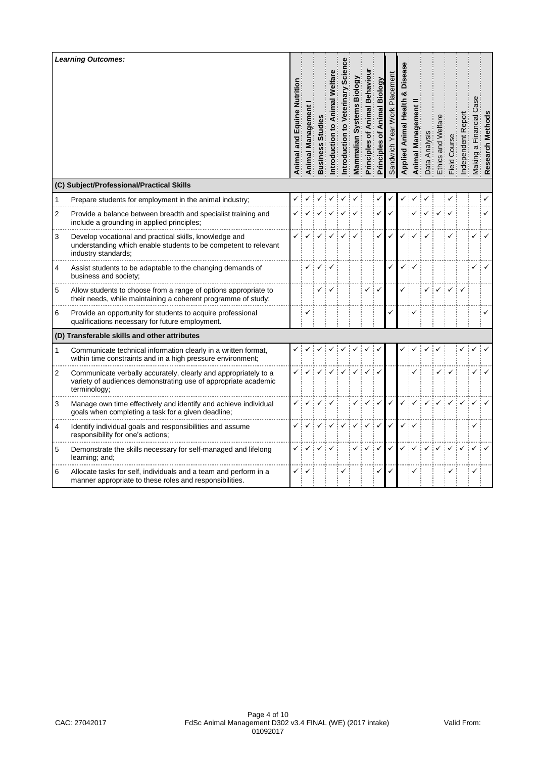|              | <b>Learning Outcomes:</b><br>(C) Subject/Professional/Practical Skills                                                                            | and Equine Nutrition<br>Animal | Managem<br>Animal | Busine: | ntroduction | ntroduction | ₫<br>m<br>ian<br>Vlammal | Behav<br>mal<br>៊<br>Principles | Biology<br>৳<br>Principles | ilda | Animal | $\overline{\omega}$<br>ಗೆ | Ethics | යි<br>Field <sup>1</sup> | त्त<br>$\omega$<br>တ |  |
|--------------|---------------------------------------------------------------------------------------------------------------------------------------------------|--------------------------------|-------------------|---------|-------------|-------------|--------------------------|---------------------------------|----------------------------|------|--------|---------------------------|--------|--------------------------|----------------------|--|
| $\mathbf{1}$ | Prepare students for employment in the animal industry;                                                                                           |                                |                   |         |             |             |                          |                                 |                            |      |        |                           |        |                          |                      |  |
| 2            | Provide a balance between breadth and specialist training and<br>include a grounding in applied principles;                                       |                                |                   |         |             |             |                          |                                 |                            |      |        |                           |        |                          |                      |  |
| 3            | Develop vocational and practical skills, knowledge and<br>understanding which enable students to be competent to relevant<br>industry standards:  |                                |                   |         |             |             |                          |                                 |                            |      |        |                           |        |                          |                      |  |
| 4            | Assist students to be adaptable to the changing demands of<br>business and society;                                                               |                                |                   |         |             |             |                          |                                 |                            |      |        |                           |        |                          |                      |  |
| 5            | Allow students to choose from a range of options appropriate to<br>their needs, while maintaining a coherent programme of study;                  |                                |                   |         |             |             |                          |                                 |                            |      |        |                           |        |                          |                      |  |
| 6            | Provide an opportunity for students to acquire professional<br>qualifications necessary for future employment.                                    |                                |                   |         |             |             |                          |                                 |                            |      |        |                           |        |                          |                      |  |
|              | (D) Transferable skills and other attributes                                                                                                      |                                |                   |         |             |             |                          |                                 |                            |      |        |                           |        |                          |                      |  |
| 1            | Communicate technical information clearly in a written format,<br>within time constraints and in a high pressure environment;                     |                                |                   |         |             |             |                          |                                 |                            |      |        |                           |        |                          |                      |  |
| 2            | Communicate verbally accurately, clearly and appropriately to a<br>variety of audiences demonstrating use of appropriate academic<br>terminology; |                                |                   |         |             |             |                          |                                 |                            |      |        |                           |        |                          |                      |  |
| 3            | Manage own time effectively and identify and achieve individual<br>goals when completing a task for a given deadline;                             |                                |                   |         |             |             |                          |                                 |                            |      |        |                           |        |                          |                      |  |
| 4            | Identify individual goals and responsibilities and assume<br>responsibility for one's actions;                                                    |                                |                   |         |             |             |                          |                                 |                            |      |        |                           |        |                          |                      |  |
| 5            | Demonstrate the skills necessary for self-managed and lifelong<br>learning; and;                                                                  |                                |                   |         |             |             |                          |                                 |                            |      |        |                           |        |                          |                      |  |
| 6            | Allocate tasks for self, individuals and a team and perform in a<br>manner appropriate to these roles and responsibilities.                       | ✓                              |                   |         |             |             |                          |                                 | ✓                          |      |        |                           |        | ✓                        |                      |  |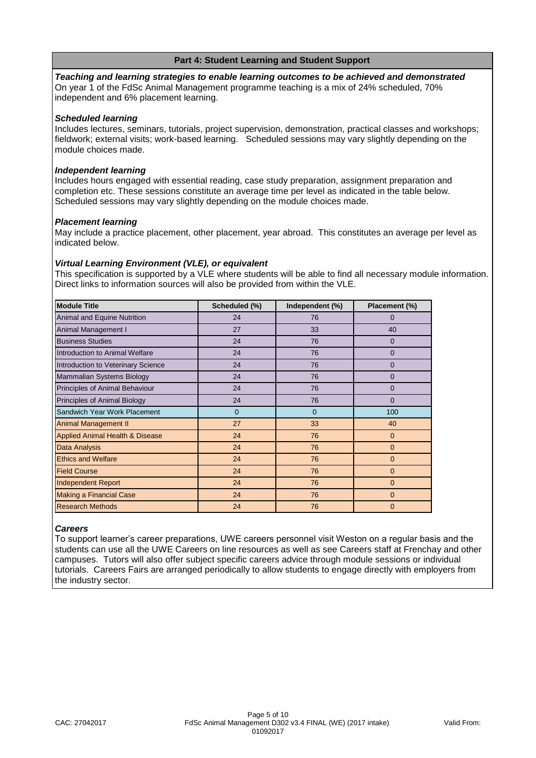## **Part 4: Student Learning and Student Support**

*Teaching and learning strategies to enable learning outcomes to be achieved and demonstrated* On year 1 of the FdSc Animal Management programme teaching is a mix of 24% scheduled, 70% independent and 6% placement learning.

#### *Scheduled learning*

Includes lectures, seminars, tutorials, project supervision, demonstration, practical classes and workshops; fieldwork; external visits; work-based learning. Scheduled sessions may vary slightly depending on the module choices made.

#### *Independent learning*

Includes hours engaged with essential reading, case study preparation, assignment preparation and completion etc. These sessions constitute an average time per level as indicated in the table below. Scheduled sessions may vary slightly depending on the module choices made.

#### *Placement learning*

May include a practice placement, other placement, year abroad. This constitutes an average per level as indicated below.

#### *Virtual Learning Environment (VLE), or equivalent*

This specification is supported by a VLE where students will be able to find all necessary module information. Direct links to information sources will also be provided from within the VLE.

| <b>Module Title</b>                        | Scheduled (%)  | Independent (%) | Placement (%)  |
|--------------------------------------------|----------------|-----------------|----------------|
| Animal and Equine Nutrition                | 24             | 76              | $\Omega$       |
| Animal Management I                        | 27             | 33              | 40             |
| <b>Business Studies</b>                    | 24             | 76              | $\Omega$       |
| Introduction to Animal Welfare             | 24             | 76              | $\mathbf{0}$   |
| Introduction to Veterinary Science         | 24             | 76              | 0              |
| Mammalian Systems Biology                  | 24             | 76              | $\Omega$       |
| Principles of Animal Behaviour             | 24             | 76              | 0              |
| Principles of Animal Biology               | 24             | 76              | $\Omega$       |
| Sandwich Year Work Placement               | $\overline{0}$ | $\mathbf{0}$    | 100            |
| <b>Animal Management II</b>                | 27             | 33              | 40             |
| <b>Applied Animal Health &amp; Disease</b> | 24             | 76              | $\mathbf{0}$   |
| Data Analysis                              | 24             | 76              | $\overline{0}$ |
| <b>Ethics and Welfare</b>                  | 24             | 76              | $\overline{0}$ |
| <b>Field Course</b>                        | 24             | 76              | $\overline{0}$ |
| <b>Independent Report</b>                  | 24             | 76              | $\Omega$       |
| <b>Making a Financial Case</b>             | 24             | 76              | $\mathbf{0}$   |
| <b>Research Methods</b>                    | 24             | 76              | $\Omega$       |

#### *Careers*

To support learner's career preparations, UWE careers personnel visit Weston on a regular basis and the students can use all the UWE Careers on line resources as well as see Careers staff at Frenchay and other campuses. Tutors will also offer subject specific careers advice through module sessions or individual tutorials. Careers Fairs are arranged periodically to allow students to engage directly with employers from the industry sector.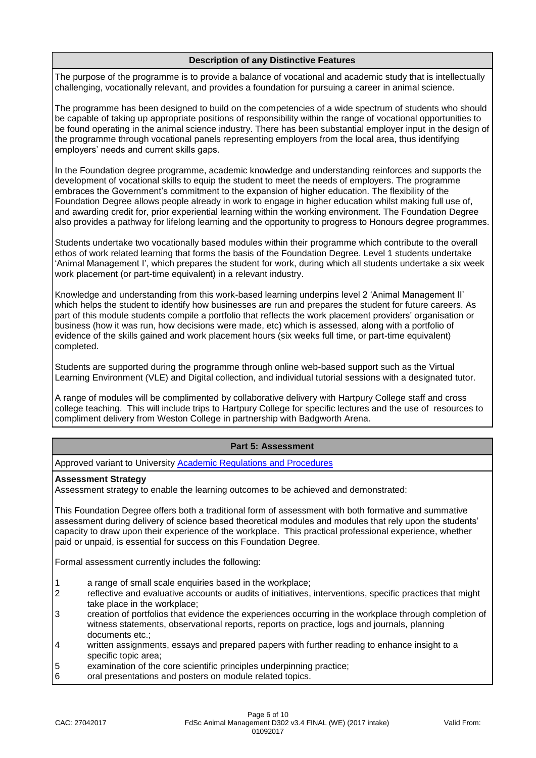### **Description of any Distinctive Features**

The purpose of the programme is to provide a balance of vocational and academic study that is intellectually challenging, vocationally relevant, and provides a foundation for pursuing a career in animal science.

The programme has been designed to build on the competencies of a wide spectrum of students who should be capable of taking up appropriate positions of responsibility within the range of vocational opportunities to be found operating in the animal science industry. There has been substantial employer input in the design of the programme through vocational panels representing employers from the local area, thus identifying employers' needs and current skills gaps.

In the Foundation degree programme, academic knowledge and understanding reinforces and supports the development of vocational skills to equip the student to meet the needs of employers. The programme embraces the Government's commitment to the expansion of higher education. The flexibility of the Foundation Degree allows people already in work to engage in higher education whilst making full use of, and awarding credit for, prior experiential learning within the working environment. The Foundation Degree also provides a pathway for lifelong learning and the opportunity to progress to Honours degree programmes.

Students undertake two vocationally based modules within their programme which contribute to the overall ethos of work related learning that forms the basis of the Foundation Degree. Level 1 students undertake 'Animal Management I', which prepares the student for work, during which all students undertake a six week work placement (or part-time equivalent) in a relevant industry.

Knowledge and understanding from this work-based learning underpins level 2 'Animal Management II' which helps the student to identify how businesses are run and prepares the student for future careers. As part of this module students compile a portfolio that reflects the work placement providers' organisation or business (how it was run, how decisions were made, etc) which is assessed, along with a portfolio of evidence of the skills gained and work placement hours (six weeks full time, or part-time equivalent) completed.

Students are supported during the programme through online web-based support such as the Virtual Learning Environment (VLE) and Digital collection, and individual tutorial sessions with a designated tutor.

A range of modules will be complimented by collaborative delivery with Hartpury College staff and cross college teaching. This will include trips to Hartpury College for specific lectures and the use of resources to compliment delivery from Weston College in partnership with Badgworth Arena.

### **Part 5: Assessment**

Approved variant to University **Academic Regulations and Procedures** 

#### **Assessment Strategy**

Assessment strategy to enable the learning outcomes to be achieved and demonstrated:

This Foundation Degree offers both a traditional form of assessment with both formative and summative assessment during delivery of science based theoretical modules and modules that rely upon the students' capacity to draw upon their experience of the workplace. This practical professional experience, whether paid or unpaid, is essential for success on this Foundation Degree.

Formal assessment currently includes the following:

- 1 a range of small scale enquiries based in the workplace:
- 2 reflective and evaluative accounts or audits of initiatives, interventions, specific practices that might take place in the workplace;
- 3 creation of portfolios that evidence the experiences occurring in the workplace through completion of witness statements, observational reports, reports on practice, logs and journals, planning documents etc.;
- 4 written assignments, essays and prepared papers with further reading to enhance insight to a specific topic area;
- 5 examination of the core scientific principles underpinning practice;<br>6 oral presentations and posters on module related topics.
- oral presentations and posters on module related topics.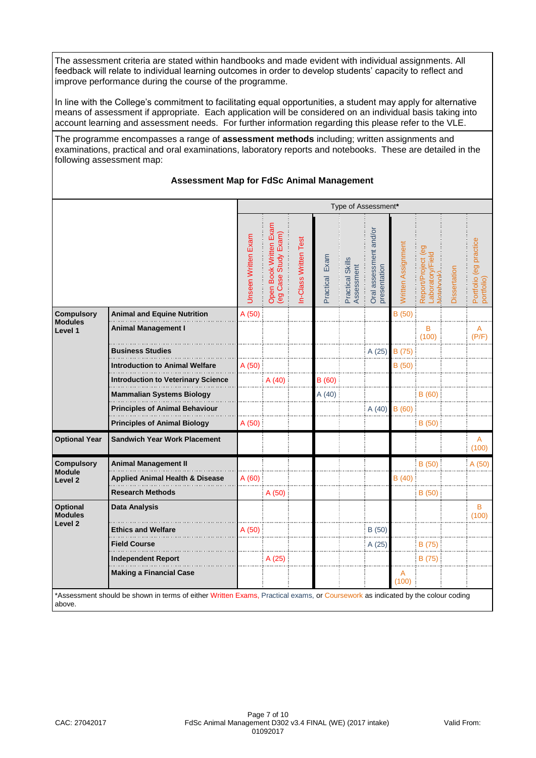The assessment criteria are stated within handbooks and made evident with individual assignments. All feedback will relate to individual learning outcomes in order to develop students' capacity to reflect and improve performance during the course of the programme.

In line with the College's commitment to facilitating equal opportunities, a student may apply for alternative means of assessment if appropriate. Each application will be considered on an individual basis taking into account learning and assessment needs. For further information regarding this please refer to the VLE.

The programme encompasses a range of **assessment methods** including; written assignments and examinations, practical and oral examinations, laboratory reports and notebooks. These are detailed in the following assessment map:

### **Assessment Map for FdSc Animal Management**

|                                                         |                                            | Type of Assessment*        |                                                |                      |                |                                |                                        |                    |                                                                           |              |                                      |
|---------------------------------------------------------|--------------------------------------------|----------------------------|------------------------------------------------|----------------------|----------------|--------------------------------|----------------------------------------|--------------------|---------------------------------------------------------------------------|--------------|--------------------------------------|
|                                                         |                                            | <b>Unseen Written Exam</b> | Open Book Written Exam<br>(eg Case Study Exam) | n-Class Written Test | Practical Exam | Practical Skills<br>Assessment | Oral assessment and/or<br>presentation | Written Assignment | $\overline{69}$<br>aboratory/Fiel<br>Report/Project<br><b>Votebook</b> ). | Dissertation | Portfolio (eg practice<br>portfolio) |
| <b>Compulsory</b>                                       | Animal and Equine Nutrition                | A (50)                     |                                                |                      |                |                                |                                        | B(50)              |                                                                           |              |                                      |
| <b>Modules</b><br>Level 1                               | Animal Management I                        |                            |                                                |                      |                |                                |                                        |                    | B<br>(100)                                                                |              | A<br>(P/F)                           |
|                                                         | <b>Business Studies</b>                    |                            |                                                |                      |                |                                | A (25)                                 | B (75)             |                                                                           |              |                                      |
|                                                         | Introduction to Animal Welfare             | A (50)                     |                                                |                      |                |                                |                                        | B (50)             |                                                                           |              |                                      |
|                                                         | <b>Introduction to Veterinary Science</b>  |                            | A(40)                                          |                      | B (60)         |                                |                                        |                    |                                                                           |              |                                      |
|                                                         | <b>Mammalian Systems Biology</b>           |                            |                                                |                      | A(40)          |                                |                                        |                    | B(60)                                                                     |              |                                      |
|                                                         | <b>Principles of Animal Behaviour</b>      |                            |                                                |                      |                |                                | A(40)                                  | B(60)              |                                                                           |              |                                      |
|                                                         | <b>Principles of Animal Biology</b>        | A(50)                      |                                                |                      |                |                                |                                        |                    | B(50)                                                                     |              |                                      |
| <b>Optional Year</b>                                    | <b>Sandwich Year Work Placement</b>        |                            |                                                |                      |                |                                |                                        |                    |                                                                           |              | A<br>(100)                           |
| <b>Compulsory</b>                                       | <b>Animal Management II</b>                |                            |                                                |                      |                |                                |                                        |                    | B(50)                                                                     |              | A (50)                               |
| <b>Module</b><br>Level <sub>2</sub>                     | <b>Applied Animal Health &amp; Disease</b> | A (60)                     |                                                |                      |                |                                |                                        | B(40)              |                                                                           |              |                                      |
|                                                         | <b>Research Methods</b>                    |                            | A (50)                                         |                      |                |                                |                                        |                    | B(50)                                                                     |              |                                      |
| <b>Optional</b><br><b>Modules</b><br>Level <sub>2</sub> | <b>Data Analysis</b>                       |                            |                                                |                      |                |                                |                                        |                    |                                                                           |              | B<br>(100)                           |
|                                                         | <b>Ethics and Welfare</b>                  | A (50)                     |                                                |                      |                |                                | B(50)                                  |                    |                                                                           |              |                                      |
|                                                         | <b>Field Course</b>                        |                            |                                                |                      |                |                                | A (25)                                 |                    | B (75)                                                                    |              |                                      |
|                                                         | <b>Independent Report</b>                  |                            | A (25)                                         |                      |                |                                |                                        |                    | B (75)                                                                    |              |                                      |
|                                                         | <b>Making a Financial Case</b>             |                            |                                                |                      |                |                                |                                        | A<br>(100)         |                                                                           |              |                                      |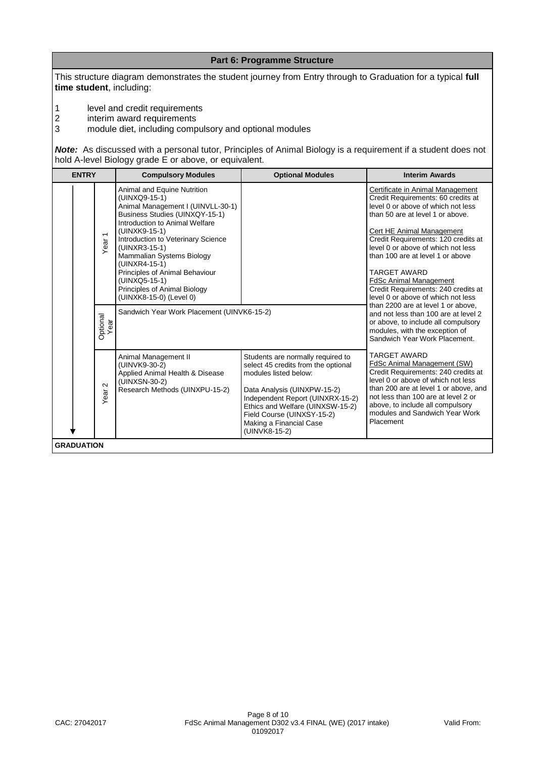This structure diagram demonstrates the student journey from Entry through to Graduation for a typical **full time student**, including:

**Part 6: Programme Structure**

1 level and credit requirements<br>2 interim award requirements

2 interim award requirements<br>3 module diet, including comp

3 module diet, including compulsory and optional modules

*Note:*As discussed with a personal tutor, Principles of Animal Biology is a requirement if a student does not hold A-level Biology grade E or above, or equivalent.

| <b>ENTRY</b>           | <b>Compulsory Modules</b>                                                                                                                                                                                                                                                                                                                                                                 | <b>Optional Modules</b>                                                                                                                                                                                                                                                            | <b>Interim Awards</b>                                                                                                                                                                                                                                                                                                                                                                                                                                                     |
|------------------------|-------------------------------------------------------------------------------------------------------------------------------------------------------------------------------------------------------------------------------------------------------------------------------------------------------------------------------------------------------------------------------------------|------------------------------------------------------------------------------------------------------------------------------------------------------------------------------------------------------------------------------------------------------------------------------------|---------------------------------------------------------------------------------------------------------------------------------------------------------------------------------------------------------------------------------------------------------------------------------------------------------------------------------------------------------------------------------------------------------------------------------------------------------------------------|
| $\overline{ }$<br>Year | Animal and Equine Nutrition<br>(UINXQ9-15-1)<br>Animal Management I (UINVLL-30-1)<br>Business Studies (UINXQY-15-1)<br>Introduction to Animal Welfare<br>(UINXK9-15-1)<br>Introduction to Veterinary Science<br>(UINXR3-15-1)<br>Mammalian Systems Biology<br>(UINXR4-15-1)<br>Principles of Animal Behaviour<br>(UINXQ5-15-1)<br>Principles of Animal Biology<br>(UINXK8-15-0) (Level 0) |                                                                                                                                                                                                                                                                                    | Certificate in Animal Management<br>Credit Requirements: 60 credits at<br>level 0 or above of which not less<br>than 50 are at level 1 or above.<br>Cert HE Animal Management<br>Credit Requirements: 120 credits at<br>level 0 or above of which not less<br>than 100 are at level 1 or above<br><b>TARGET AWARD</b><br><b>FdSc Animal Management</b><br>Credit Requirements: 240 credits at<br>level 0 or above of which not less<br>than 2200 are at level 1 or above. |
| Optional<br>Year<br>БЭ | Sandwich Year Work Placement (UINVK6-15-2)                                                                                                                                                                                                                                                                                                                                                |                                                                                                                                                                                                                                                                                    | and not less than 100 are at level 2<br>or above, to include all compulsory<br>modules, with the exception of<br>Sandwich Year Work Placement.                                                                                                                                                                                                                                                                                                                            |
| $\sim$<br>Year         | Animal Management II<br>(UINVK9-30-2)<br>Applied Animal Health & Disease<br>(UINXSN-30-2)<br>Research Methods (UINXPU-15-2)                                                                                                                                                                                                                                                               | Students are normally required to<br>select 45 credits from the optional<br>modules listed below:<br>Data Analysis (UINXPW-15-2)<br>Independent Report (UINXRX-15-2)<br>Ethics and Welfare (UINXSW-15-2)<br>Field Course (UINXSY-15-2)<br>Making a Financial Case<br>(UINVK8-15-2) | <b>TARGET AWARD</b><br>FdSc Animal Management (SW)<br>Credit Requirements: 240 credits at<br>level 0 or above of which not less<br>than 200 are at level 1 or above, and<br>not less than 100 are at level 2 or<br>above, to include all compulsory<br>modules and Sandwich Year Work<br>Placement                                                                                                                                                                        |
| <b>GRADUATION</b>      |                                                                                                                                                                                                                                                                                                                                                                                           |                                                                                                                                                                                                                                                                                    |                                                                                                                                                                                                                                                                                                                                                                                                                                                                           |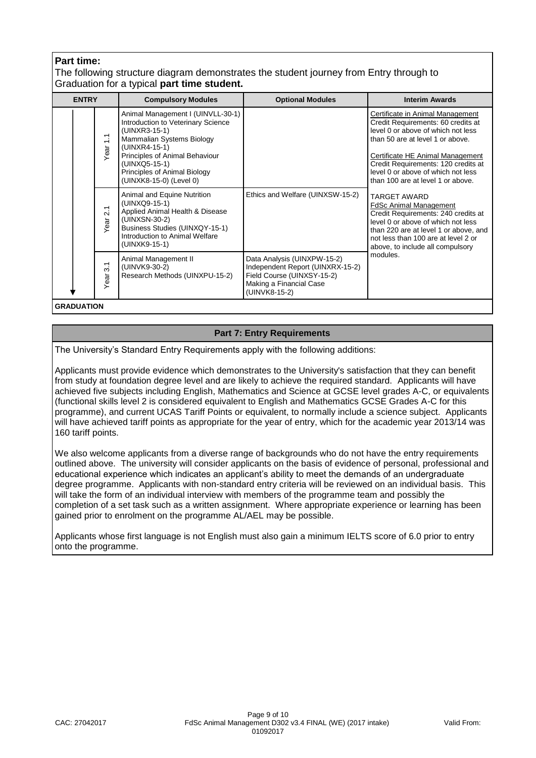# **Part time:**

# The following structure diagram demonstrates the student journey from Entry through to Graduation for a typical **part time student.**

| <b>ENTRY</b> |                                                             | <b>Compulsory Modules</b>                                                                                                                                                                                                                            | <b>Optional Modules</b>                                                                                                                   | <b>Interim Awards</b>                                                                                                                                                                                                                                                                                  |
|--------------|-------------------------------------------------------------|------------------------------------------------------------------------------------------------------------------------------------------------------------------------------------------------------------------------------------------------------|-------------------------------------------------------------------------------------------------------------------------------------------|--------------------------------------------------------------------------------------------------------------------------------------------------------------------------------------------------------------------------------------------------------------------------------------------------------|
|              | $\frac{1}{1}$<br>Year                                       | Animal Management I (UINVLL-30-1)<br>Introduction to Veterinary Science<br>(UINXR3-15-1)<br>Mammalian Systems Biology<br>(UINXR4-15-1)<br>Principles of Animal Behaviour<br>(UINXQ5-15-1)<br>Principles of Animal Biology<br>(UINXK8-15-0) (Level 0) |                                                                                                                                           | Certificate in Animal Management<br>Credit Requirements: 60 credits at<br>level 0 or above of which not less<br>than 50 are at level 1 or above.<br>Certificate HE Animal Management<br>Credit Requirements: 120 credits at<br>level 0 or above of which not less<br>than 100 are at level 1 or above. |
|              | $\overline{\phantom{0}}$<br>$\overline{\mathsf{N}}$<br>Year | Animal and Equine Nutrition<br>(UINXQ9-15-1)<br>Applied Animal Health & Disease<br>(UINXSN-30-2)<br>Business Studies (UINXQY-15-1)<br>Introduction to Animal Welfare<br>(UINXK9-15-1)                                                                | Ethics and Welfare (UINXSW-15-2)                                                                                                          | <b>TARGET AWARD</b><br><b>FdSc Animal Management</b><br>Credit Requirements: 240 credits at<br>level 0 or above of which not less<br>than 220 are at level 1 or above, and<br>not less than 100 are at level 2 or<br>above, to include all compulsory                                                  |
|              | $\overline{3}$ .<br>Year                                    | Animal Management II<br>(UINVK9-30-2)<br>Research Methods (UINXPU-15-2)                                                                                                                                                                              | Data Analysis (UINXPW-15-2)<br>Independent Report (UINXRX-15-2)<br>Field Course (UINXSY-15-2)<br>Making a Financial Case<br>(UINVK8-15-2) | modules.                                                                                                                                                                                                                                                                                               |
|              |                                                             |                                                                                                                                                                                                                                                      |                                                                                                                                           |                                                                                                                                                                                                                                                                                                        |

**GRADUATION**

# **Part 7: Entry Requirements**

The University's Standard Entry Requirements apply with the following additions:

Applicants must provide evidence which demonstrates to the University's satisfaction that they can benefit from study at foundation degree level and are likely to achieve the required standard. Applicants will have achieved five subjects including English, Mathematics and Science at GCSE level grades A-C, or equivalents (functional skills level 2 is considered equivalent to English and Mathematics GCSE Grades A-C for this programme), and current UCAS Tariff Points or equivalent, to normally include a science subject. Applicants will have achieved tariff points as appropriate for the year of entry, which for the academic year 2013/14 was 160 tariff points.

We also welcome applicants from a diverse range of backgrounds who do not have the entry requirements outlined above. The university will consider applicants on the basis of evidence of personal, professional and educational experience which indicates an applicant's ability to meet the demands of an undergraduate degree programme. Applicants with non-standard entry criteria will be reviewed on an individual basis. This will take the form of an individual interview with members of the programme team and possibly the completion of a set task such as a written assignment. Where appropriate experience or learning has been gained prior to enrolment on the programme AL/AEL may be possible.

Applicants whose first language is not English must also gain a minimum IELTS score of 6.0 prior to entry onto the programme.